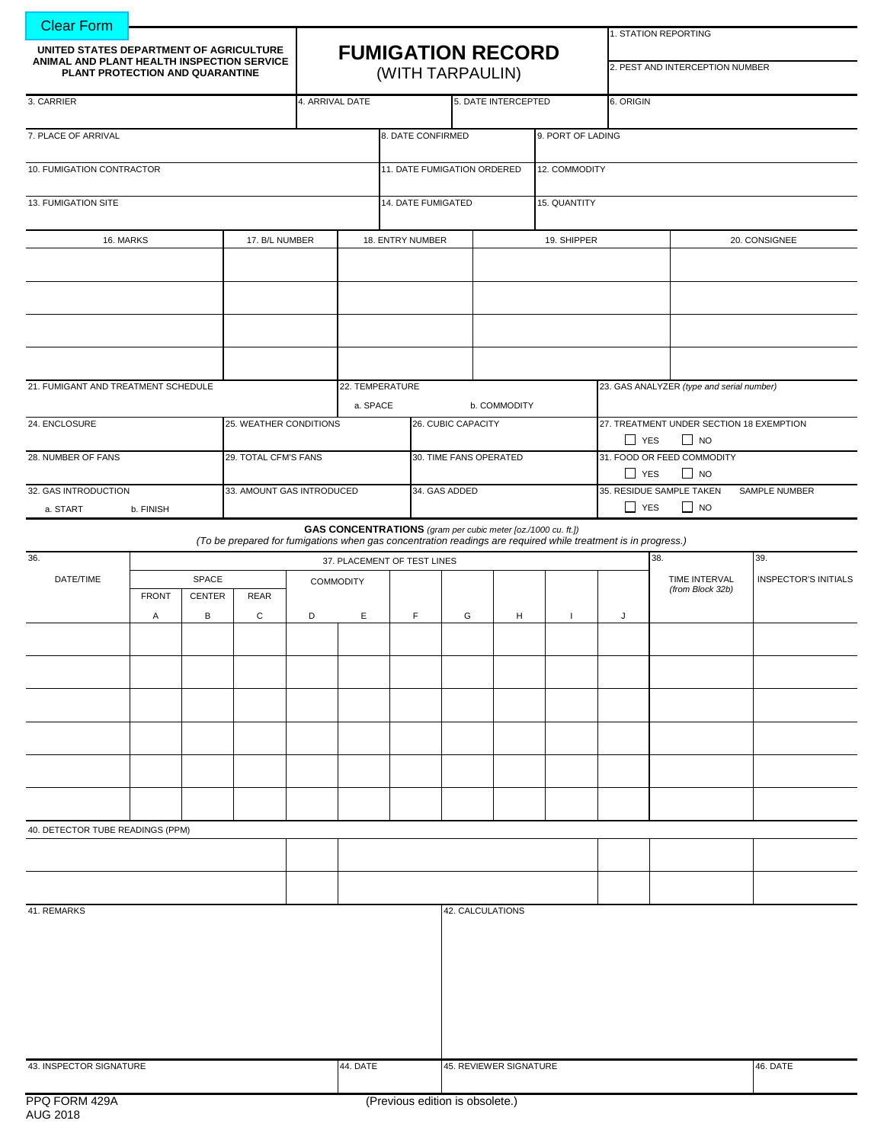| <b>Clear Form</b>                                                             |                               |       |                        |                           |                          |                                                              |             |               |                     |               |                                          |                                           |                                                                                                                                                                                                                                                                                                                                                                      |  |                             |  |
|-------------------------------------------------------------------------------|-------------------------------|-------|------------------------|---------------------------|--------------------------|--------------------------------------------------------------|-------------|---------------|---------------------|---------------|------------------------------------------|-------------------------------------------|----------------------------------------------------------------------------------------------------------------------------------------------------------------------------------------------------------------------------------------------------------------------------------------------------------------------------------------------------------------------|--|-----------------------------|--|
| UNITED STATES DEPARTMENT OF AGRICULTURE                                       |                               |       |                        |                           | <b>FUMIGATION RECORD</b> |                                                              |             |               |                     |               |                                          |                                           |                                                                                                                                                                                                                                                                                                                                                                      |  |                             |  |
| ANIMAL AND PLANT HEALTH INSPECTION SERVICE<br>PLANT PROTECTION AND QUARANTINE |                               |       |                        |                           |                          | (WITH TARPAULIN)                                             |             |               |                     |               |                                          |                                           | 1. STATION REPORTING<br>2. PEST AND INTERCEPTION NUMBER<br>6. ORIGIN<br>23. GAS ANALYZER (type and serial number)<br>$\Box$ YES<br>$\Box$ NO<br>$\Box$ YES<br>$\Box$ NO<br>$\Box$ YES<br>$\Box$ NO<br>(To be prepared for fumigations when gas concentration readings are required while treatment is in progress.)<br>38.<br>TIME INTERVAL<br>(from Block 32b)<br>J |  |                             |  |
| 3. CARRIER                                                                    |                               |       |                        | 4. ARRIVAL DATE           |                          |                                                              |             |               | 5. DATE INTERCEPTED |               |                                          |                                           |                                                                                                                                                                                                                                                                                                                                                                      |  |                             |  |
| 7. PLACE OF ARRIVAL                                                           |                               |       |                        |                           | 8. DATE CONFIRMED        |                                                              |             |               |                     |               | 9. PORT OF LADING                        |                                           |                                                                                                                                                                                                                                                                                                                                                                      |  |                             |  |
| 10. FUMIGATION CONTRACTOR                                                     |                               |       |                        |                           |                          | 11. DATE FUMIGATION ORDERED                                  |             |               |                     | 12. COMMODITY |                                          |                                           |                                                                                                                                                                                                                                                                                                                                                                      |  |                             |  |
| 13. FUMIGATION SITE                                                           |                               |       |                        |                           | 14. DATE FUMIGATED       |                                                              |             | 15. QUANTITY  |                     |               |                                          |                                           |                                                                                                                                                                                                                                                                                                                                                                      |  |                             |  |
| 16. MARKS                                                                     |                               |       | 17. B/L NUMBER         |                           | 18. ENTRY NUMBER         |                                                              | 19. SHIPPER |               |                     | 20. CONSIGNEE |                                          |                                           |                                                                                                                                                                                                                                                                                                                                                                      |  |                             |  |
|                                                                               |                               |       |                        |                           |                          |                                                              |             |               |                     |               |                                          |                                           |                                                                                                                                                                                                                                                                                                                                                                      |  |                             |  |
|                                                                               |                               |       |                        |                           |                          |                                                              |             |               |                     |               |                                          |                                           |                                                                                                                                                                                                                                                                                                                                                                      |  |                             |  |
|                                                                               |                               |       |                        |                           |                          |                                                              |             |               |                     |               |                                          |                                           |                                                                                                                                                                                                                                                                                                                                                                      |  |                             |  |
|                                                                               |                               |       |                        |                           |                          |                                                              |             |               |                     |               |                                          |                                           |                                                                                                                                                                                                                                                                                                                                                                      |  |                             |  |
| 21. FUMIGANT AND TREATMENT SCHEDULE                                           |                               |       | a. SPACE               |                           |                          | 22. TEMPERATURE<br>b. COMMODITY                              |             |               |                     |               |                                          |                                           |                                                                                                                                                                                                                                                                                                                                                                      |  |                             |  |
| 24. ENCLOSURE                                                                 |                               |       | 25. WEATHER CONDITIONS |                           | 26. CUBIC CAPACITY       |                                                              |             |               |                     |               | 27. TREATMENT UNDER SECTION 18 EXEMPTION |                                           |                                                                                                                                                                                                                                                                                                                                                                      |  |                             |  |
| 28. NUMBER OF FANS                                                            |                               |       | 29. TOTAL CFM'S FANS   |                           |                          | 30. TIME FANS OPERATED                                       |             |               |                     |               | 31. FOOD OR FEED COMMODITY               |                                           |                                                                                                                                                                                                                                                                                                                                                                      |  |                             |  |
| 32. GAS INTRODUCTION                                                          |                               |       |                        | 33. AMOUNT GAS INTRODUCED |                          |                                                              |             | 34. GAS ADDED |                     |               |                                          | 35. RESIDUE SAMPLE TAKEN<br>SAMPLE NUMBER |                                                                                                                                                                                                                                                                                                                                                                      |  |                             |  |
| a. START                                                                      | b. FINISH                     |       |                        |                           |                          |                                                              |             |               |                     |               |                                          |                                           |                                                                                                                                                                                                                                                                                                                                                                      |  |                             |  |
|                                                                               |                               |       |                        |                           |                          | GAS CONCENTRATIONS (gram per cubic meter [oz./1000 cu. ft.]) |             |               |                     |               |                                          |                                           |                                                                                                                                                                                                                                                                                                                                                                      |  |                             |  |
| 36.                                                                           |                               |       |                        |                           |                          | 37. PLACEMENT OF TEST LINES                                  |             |               |                     |               |                                          |                                           |                                                                                                                                                                                                                                                                                                                                                                      |  | 39.                         |  |
| DATE/TIME                                                                     |                               | SPACE |                        |                           | <b>COMMODITY</b>         |                                                              |             |               |                     |               |                                          |                                           |                                                                                                                                                                                                                                                                                                                                                                      |  | <b>INSPECTOR'S INITIALS</b> |  |
|                                                                               | <b>FRONT</b><br><b>CENTER</b> |       | <b>REAR</b>            |                           |                          |                                                              |             |               |                     |               |                                          |                                           |                                                                                                                                                                                                                                                                                                                                                                      |  |                             |  |
|                                                                               | Α                             | B     | C                      | D                         | Ε                        | $\mathsf F$                                                  |             | G             | H                   | $\mathbf{I}$  |                                          |                                           |                                                                                                                                                                                                                                                                                                                                                                      |  |                             |  |
|                                                                               |                               |       |                        |                           |                          |                                                              |             |               |                     |               |                                          |                                           |                                                                                                                                                                                                                                                                                                                                                                      |  |                             |  |
|                                                                               |                               |       |                        |                           |                          |                                                              |             |               |                     |               |                                          |                                           |                                                                                                                                                                                                                                                                                                                                                                      |  |                             |  |
|                                                                               |                               |       |                        |                           |                          |                                                              |             |               |                     |               |                                          |                                           |                                                                                                                                                                                                                                                                                                                                                                      |  |                             |  |
|                                                                               |                               |       |                        |                           |                          |                                                              |             |               |                     |               |                                          |                                           |                                                                                                                                                                                                                                                                                                                                                                      |  |                             |  |
|                                                                               |                               |       |                        |                           |                          |                                                              |             |               |                     |               |                                          |                                           |                                                                                                                                                                                                                                                                                                                                                                      |  |                             |  |
|                                                                               |                               |       |                        |                           |                          |                                                              |             |               |                     |               |                                          |                                           |                                                                                                                                                                                                                                                                                                                                                                      |  |                             |  |
| 40. DETECTOR TUBE READINGS (PPM)                                              |                               |       |                        |                           |                          |                                                              |             |               |                     |               |                                          |                                           |                                                                                                                                                                                                                                                                                                                                                                      |  |                             |  |
|                                                                               |                               |       |                        |                           |                          |                                                              |             |               |                     |               |                                          |                                           |                                                                                                                                                                                                                                                                                                                                                                      |  |                             |  |
|                                                                               |                               |       |                        |                           |                          |                                                              |             |               |                     |               |                                          |                                           |                                                                                                                                                                                                                                                                                                                                                                      |  |                             |  |
| 41. REMARKS                                                                   |                               |       |                        |                           |                          |                                                              |             |               | 42. CALCULATIONS    |               |                                          |                                           |                                                                                                                                                                                                                                                                                                                                                                      |  |                             |  |
|                                                                               |                               |       |                        |                           |                          |                                                              |             |               |                     |               |                                          |                                           |                                                                                                                                                                                                                                                                                                                                                                      |  |                             |  |
|                                                                               |                               |       |                        |                           |                          |                                                              |             |               |                     |               |                                          |                                           |                                                                                                                                                                                                                                                                                                                                                                      |  |                             |  |
|                                                                               |                               |       |                        |                           |                          |                                                              |             |               |                     |               |                                          |                                           |                                                                                                                                                                                                                                                                                                                                                                      |  |                             |  |
|                                                                               |                               |       |                        |                           |                          |                                                              |             |               |                     |               |                                          |                                           |                                                                                                                                                                                                                                                                                                                                                                      |  |                             |  |
| 43. INSPECTOR SIGNATURE                                                       |                               |       |                        | 44. DATE                  |                          | 45. REVIEWER SIGNATURE                                       |             |               |                     |               |                                          |                                           | 46. DATE                                                                                                                                                                                                                                                                                                                                                             |  |                             |  |